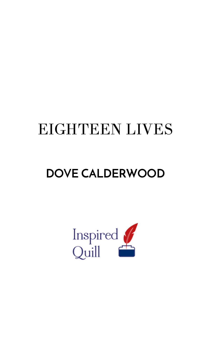## EIGHTEEN LIVES

## **DOVE CALDERWOOD**

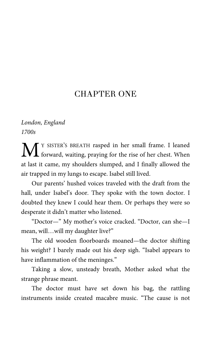## CHAPTER ONE

## *London, England 1700s*

Y SISTER'S BREATH rasped in her small frame. I leaned M <sup>Y SISTER'S BREATH rasped in her small frame. I leaned forward, waiting, praying for the rise of her chest. When</sup> at last it came, my shoulders slumped, and I finally allowed the air trapped in my lungs to escape. Isabel still lived.

Our parents' hushed voices traveled with the draft from the hall, under Isabel's door. They spoke with the town doctor. I doubted they knew I could hear them. Or perhaps they were so desperate it didn't matter who listened.

"Doctor—" My mother's voice cracked. "Doctor, can she—I mean, will…will my daughter live?"

The old wooden floorboards moaned—the doctor shifting his weight? I barely made out his deep sigh. "Isabel appears to have inflammation of the meninges."

Taking a slow, unsteady breath, Mother asked what the strange phrase meant.

The doctor must have set down his bag, the rattling instruments inside created macabre music. "The cause is not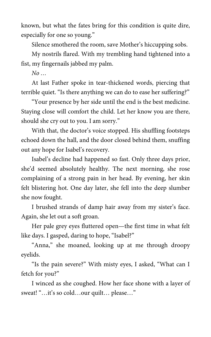known, but what the fates bring for this condition is quite dire, especially for one so young."

Silence smothered the room, save Mother's hiccupping sobs.

My nostrils flared. With my trembling hand tightened into a fist, my fingernails jabbed my palm.

*No …*

At last Father spoke in tear-thickened words, piercing that terrible quiet. "Is there anything we can do to ease her suffering?"

"Your presence by her side until the end is the best medicine. Staying close will comfort the child. Let her know you are there, should she cry out to you. I am sorry."

With that, the doctor's voice stopped. His shuffling footsteps echoed down the hall, and the door closed behind them, snuffing out any hope for Isabel's recovery.

Isabel's decline had happened so fast. Only three days prior, she'd seemed absolutely healthy. The next morning, she rose complaining of a strong pain in her head. By evening, her skin felt blistering hot. One day later, she fell into the deep slumber she now fought.

I brushed strands of damp hair away from my sister's face. Again, she let out a soft groan.

Her pale grey eyes fluttered open—the first time in what felt like days. I gasped, daring to hope, "Isabel?"

"Anna," she moaned, looking up at me through droopy eyelids.

"Is the pain severe?" With misty eyes, I asked, "What can I fetch for you?"

I winced as she coughed. How her face shone with a layer of sweat! "…it's so cold…our quilt… please…"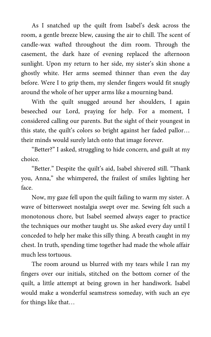As I snatched up the quilt from Isabel's desk across the room, a gentle breeze blew, causing the air to chill. The scent of candle-wax wafted throughout the dim room. Through the casement, the dark haze of evening replaced the afternoon sunlight. Upon my return to her side, my sister's skin shone a ghostly white. Her arms seemed thinner than even the day before. Were I to grip them, my slender fingers would fit snugly around the whole of her upper arms like a mourning band.

With the quilt snugged around her shoulders, I again beseeched our Lord, praying for help. For a moment, I considered calling our parents. But the sight of their youngest in this state, the quilt's colors so bright against her faded pallor… their minds would surely latch onto that image forever.

"Better?" I asked, struggling to hide concern, and guilt at my choice.

"Better." Despite the quilt's aid, Isabel shivered still. "Thank you, Anna," she whimpered, the frailest of smiles lighting her face.

Now, my gaze fell upon the quilt failing to warm my sister. A wave of bittersweet nostalgia swept over me. Sewing felt such a monotonous chore, but Isabel seemed always eager to practice the techniques our mother taught us. She asked every day until I conceded to help her make this silly thing. A breath caught in my chest. In truth, spending time together had made the whole affair much less tortuous.

The room around us blurred with my tears while I ran my fingers over our initials, stitched on the bottom corner of the quilt, a little attempt at being grown in her handiwork. Isabel would make a wonderful seamstress someday, with such an eye for things like that…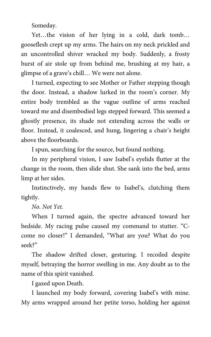Someday.

Yet…the vision of her lying in a cold, dark tomb… gooseflesh crept up my arms. The hairs on my neck prickled and an uncontrolled shiver wracked my body. Suddenly, a frosty burst of air stole up from behind me, brushing at my hair, a glimpse of a grave's chill… We were not alone.

I turned, expecting to see Mother or Father stepping though the door. Instead, a shadow lurked in the room's corner. My entire body trembled as the vague outline of arms reached toward me and disembodied legs stepped forward. This seemed a ghostly presence, its shade not extending across the walls or floor. Instead, it coalesced, and hung, lingering a chair's height above the floorboards.

I spun, searching for the source, but found nothing.

In my peripheral vision, I saw Isabel's eyelids flutter at the change in the room, then slide shut. She sank into the bed, arms limp at her sides.

Instinctively, my hands flew to Isabel's, clutching them tightly.

*No. Not Yet.*

When I turned again, the spectre advanced toward her bedside. My racing pulse caused my command to stutter. "Ccome no closer!" I demanded, "What are you? What do you seek?"

The shadow drifted closer, gesturing. I recoiled despite myself, betraying the horror swelling in me. Any doubt as to the name of this spirit vanished.

I gazed upon Death.

I launched my body forward, covering Isabel's with mine. My arms wrapped around her petite torso, holding her against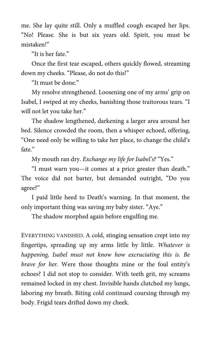me. She lay quite still. Only a muffled cough escaped her lips. "No! Please. She is but six years old. Spirit, you must be mistaken!"

"It is her fate."

Once the first tear escaped, others quickly flowed, streaming down my cheeks. "Please, do not do this!"

"It must be done."

My resolve strengthened. Loosening one of my arms' grip on Isabel, I swiped at my cheeks, banishing those traitorous tears. "I will not let you take her."

The shadow lengthened, darkening a larger area around her bed. Silence crowded the room, then a whisper echoed, offering, "One need only be willing to take her place, to change the child's fate."

My mouth ran dry. *Exchange my life for Isabel's?* "Yes."

"I must warn you—it comes at a price greater than death." The voice did not barter, but demanded outright, "Do you agree?"

I paid little heed to Death's warning. In that moment, the only important thing was saving my baby sister. "Aye."

The shadow morphed again before engulfing me.

EVERYTHING VANISHED. A cold, stinging sensation crept into my fingertips, spreading up my arms little by little. *Whatever is happening, Isabel must not know how excruciating this is. Be brave for her.* Were those thoughts mine or the foul entity's echoes? I did not stop to consider. With teeth grit, my screams remained locked in my chest. Invisible hands clutched my lungs, laboring my breath. Biting cold continued coursing through my body. Frigid tears drifted down my cheek.